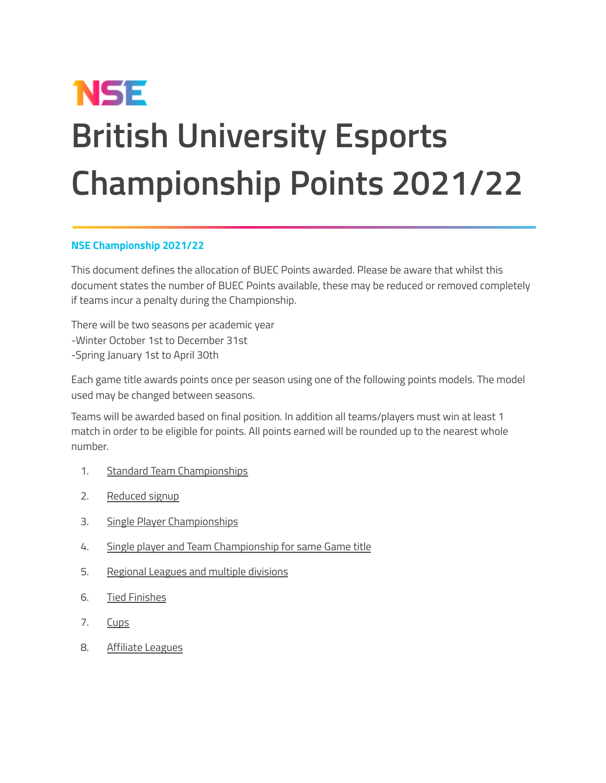# **NSE British University Esports Championship Points 2021/22**

#### **NSE Championship 2021/22**

This document defines the allocation of BUEC Points awarded. Please be aware that whilst this document states the number of BUEC Points available, these may be reduced or removed completely if teams incur a penalty during the Championship.

There will be two seasons per academic year -Winter October 1st to December 31st -Spring January 1st to April 30th

Each game title awards points once per season using one of the following points models. The model used may be changed between seasons.

Teams will be awarded based on final position. In addition all teams/players must win at least 1 match in order to be eligible for points. All points earned will be rounded up to the nearest whole number.

- 1. Standard Team Championships
- 2. Reduced signup
- 3. Single Player Championships
- 4. Single player and Team Championship for same Game title
- 5. Regional Leagues and multiple divisions
- 6. Tied Finishes
- 7. Cups
- 8. Affiliate Leagues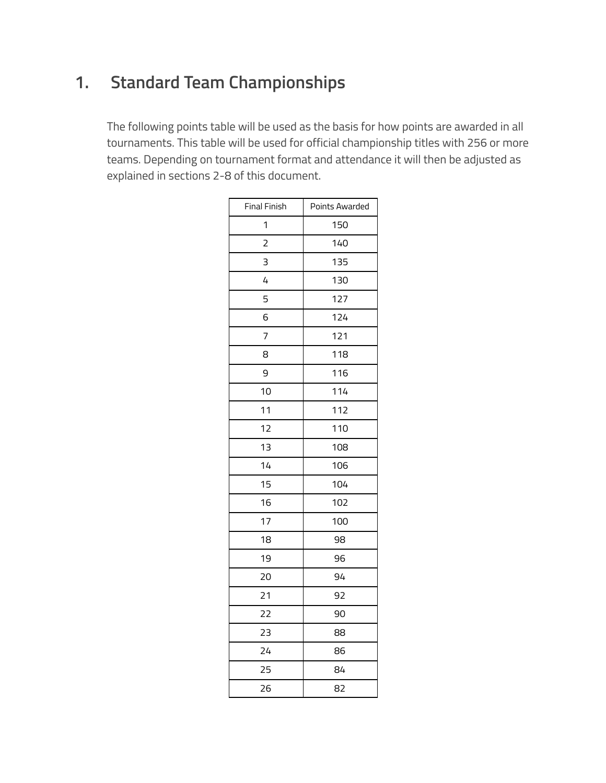# **1. Standard Team Championships**

The following points table will be used as the basis for how points are awarded in all tournaments. This table will be used for official championship titles with 256 or more teams. Depending on tournament format and attendance it will then be adjusted as explained in sections 2-8 of this document.

| <b>Final Finish</b> | Points Awarded |
|---------------------|----------------|
| 1                   | 150            |
| $\overline{2}$      | 140            |
| 3                   | 135            |
| 4                   | 130            |
| 5                   | 127            |
| 6                   | 124            |
| 7                   | 121            |
| 8                   | 118            |
| 9                   | 116            |
| 10                  | 114            |
| 11                  | 112            |
| 12                  | 110            |
| 13                  | 108            |
| 14                  | 106            |
| 15                  | 104            |
| 16                  | 102            |
| 17                  | 100            |
| 18                  | 98             |
| 19                  | 96             |
| 20                  | 94             |
| 21                  | 92             |
| 22                  | 90             |
| 23                  | 88             |
| 24                  | 86             |
| 25                  | 84             |
| 26                  | 82             |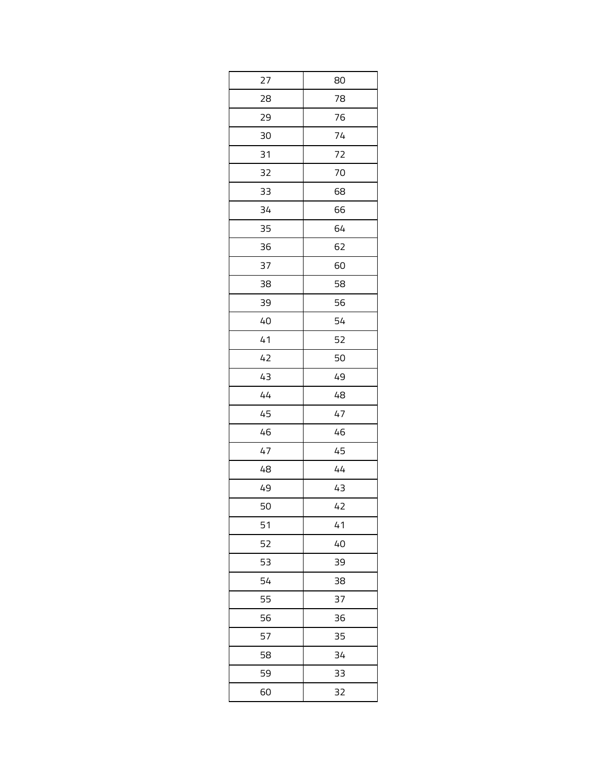| 27 | 80 |
|----|----|
| 28 | 78 |
| 29 | 76 |
| 30 | 74 |
| 31 | 72 |
| 32 | 70 |
| 33 | 68 |
| 34 | 66 |
| 35 | 64 |
| 36 | 62 |
| 37 | 60 |
| 38 | 58 |
| 39 | 56 |
| 40 | 54 |
| 41 | 52 |
| 42 | 50 |
| 43 | 49 |
| 44 | 48 |
| 45 | 47 |
| 46 | 46 |
| 47 | 45 |
| 48 | 44 |
| 49 | 43 |
| 50 | 42 |
| 51 | 41 |
| 52 | 40 |
| 53 | 39 |
| 54 | 38 |
| 55 | 37 |
| 56 | 36 |
| 57 | 35 |
| 58 | 34 |
| 59 | 33 |
| 60 | 32 |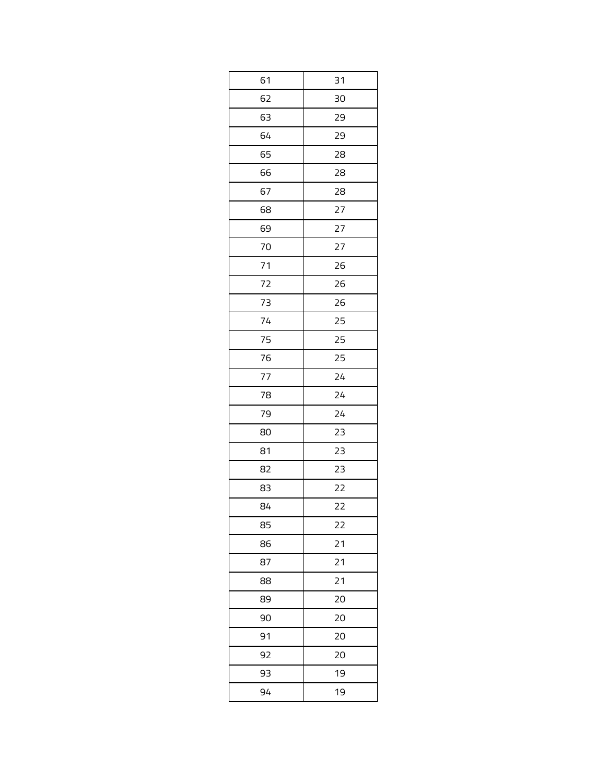| 61<br>31<br>62<br>30<br>63<br>29<br>64<br>29<br>65<br>28<br>66<br>28<br>67<br>28<br>68<br>27<br>69<br>27<br>70<br>27<br>71<br>26<br>72<br>26<br>73<br>26<br>25<br>74<br>25<br>75<br>25<br>76<br>77<br>24<br>24<br>78 |
|----------------------------------------------------------------------------------------------------------------------------------------------------------------------------------------------------------------------|
|                                                                                                                                                                                                                      |
|                                                                                                                                                                                                                      |
|                                                                                                                                                                                                                      |
|                                                                                                                                                                                                                      |
|                                                                                                                                                                                                                      |
|                                                                                                                                                                                                                      |
|                                                                                                                                                                                                                      |
|                                                                                                                                                                                                                      |
|                                                                                                                                                                                                                      |
|                                                                                                                                                                                                                      |
|                                                                                                                                                                                                                      |
|                                                                                                                                                                                                                      |
|                                                                                                                                                                                                                      |
|                                                                                                                                                                                                                      |
|                                                                                                                                                                                                                      |
|                                                                                                                                                                                                                      |
|                                                                                                                                                                                                                      |
|                                                                                                                                                                                                                      |
| 79<br>24                                                                                                                                                                                                             |
| 23<br>80                                                                                                                                                                                                             |
| 23<br>81                                                                                                                                                                                                             |
| 23<br>82                                                                                                                                                                                                             |
| 22<br>83                                                                                                                                                                                                             |
| 22<br>84                                                                                                                                                                                                             |
| 85<br>22                                                                                                                                                                                                             |
| 21<br>86                                                                                                                                                                                                             |
| 87<br>21                                                                                                                                                                                                             |
| 21<br>88                                                                                                                                                                                                             |
| 20<br>89                                                                                                                                                                                                             |
| 20<br>90                                                                                                                                                                                                             |
| 91<br>20                                                                                                                                                                                                             |
| 92<br>20                                                                                                                                                                                                             |
| 19<br>93                                                                                                                                                                                                             |
| 94<br>19                                                                                                                                                                                                             |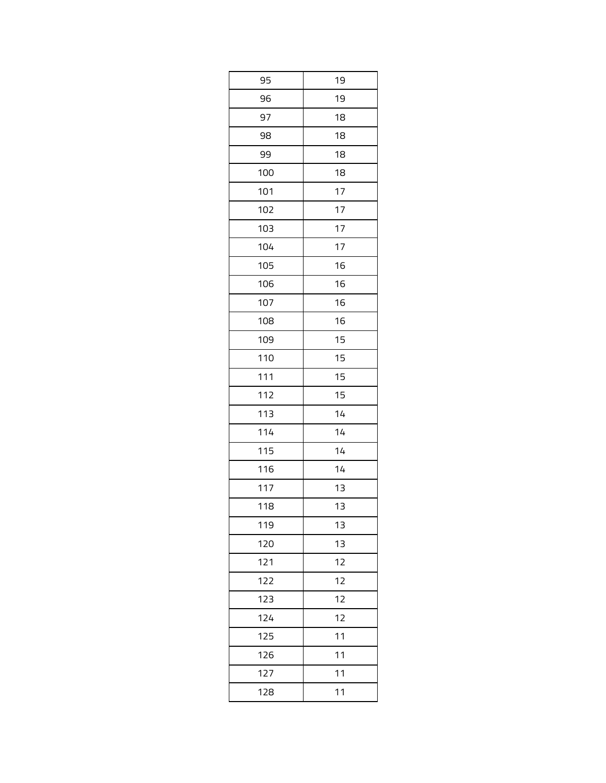| 95  | 19 |
|-----|----|
| 96  | 19 |
| 97  | 18 |
| 98  | 18 |
| 99  | 18 |
| 100 | 18 |
| 101 | 17 |
| 102 | 17 |
| 103 | 17 |
| 104 | 17 |
| 105 | 16 |
| 106 | 16 |
| 107 | 16 |
| 108 | 16 |
| 109 | 15 |
| 110 | 15 |
| 111 | 15 |
| 112 | 15 |
| 113 | 14 |
| 114 | 14 |
| 115 | 14 |
| 116 | 14 |
| 117 | 13 |
| 118 | 13 |
| 119 | 13 |
| 120 | 13 |
| 121 | 12 |
| 122 | 12 |
| 123 | 12 |
| 124 | 12 |
| 125 | 11 |
| 126 | 11 |
| 127 | 11 |
| 128 | 11 |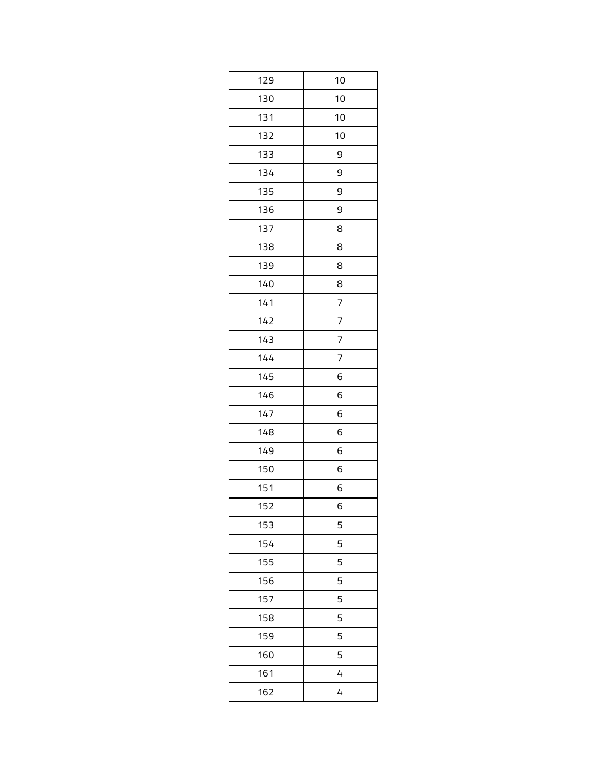| 129 | 10             |
|-----|----------------|
| 130 | 10             |
| 131 | 10             |
| 132 | 10             |
| 133 | 9              |
| 134 | 9              |
| 135 | 9              |
| 136 | 9              |
| 137 | 8              |
| 138 | 8              |
| 139 | 8              |
| 140 | 8              |
| 141 | 7              |
| 142 | 7              |
| 143 | 7              |
| 144 | 7              |
| 145 | 6              |
| 146 | 6              |
| 147 | 6              |
| 148 | 6              |
| 149 | 6              |
| 150 | 6              |
| 151 | 6              |
| 152 | 6              |
| 153 | 5              |
| 154 | 5              |
| 155 | 5              |
| 156 | 5              |
| 157 | 5              |
| 158 | 5              |
| 159 | 5              |
| 160 | 5              |
| 161 | 4              |
| 162 | $\overline{4}$ |
|     |                |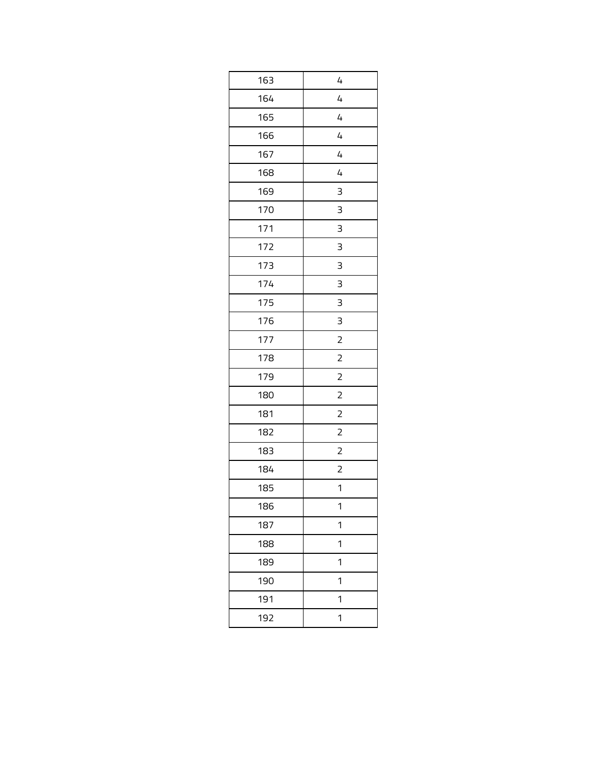| 163 | 4              |
|-----|----------------|
| 164 | 4              |
| 165 | 4              |
| 166 | 4              |
| 167 | 4              |
| 168 | 4              |
| 169 | 3              |
| 170 | 3              |
| 171 | 3              |
| 172 | 3              |
| 173 | 3              |
| 174 | 3              |
| 175 | 3              |
| 176 | 3              |
| 177 | $\overline{c}$ |
| 178 | $\overline{2}$ |
| 179 | $\overline{c}$ |
| 180 | $\overline{c}$ |
| 181 | $\overline{c}$ |
| 182 | $\overline{2}$ |
| 183 | $\overline{c}$ |
| 184 | $\overline{c}$ |
| 185 | 1              |
| 186 | 1              |
| 187 | 1              |
| 188 | 1              |
| 189 | 1              |
| 190 | 1              |
| 191 | 1              |
| 192 | 1              |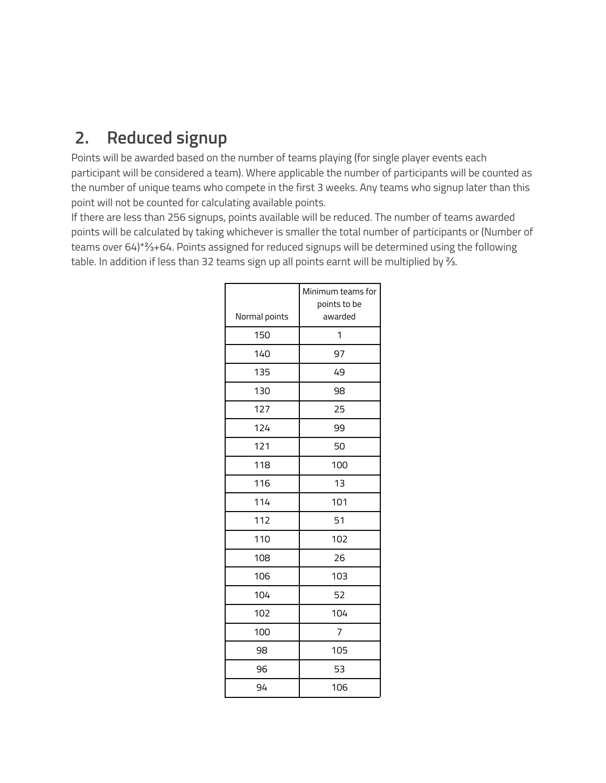# **2. Reduced signup**

Points will be awarded based on the number of teams playing (for single player events each participant will be considered a team). Where applicable the number of participants will be counted as the number of unique teams who compete in the first 3 weeks. Any teams who signup later than this point will not be counted for calculating available points.

If there are less than 256 signups, points available will be reduced. The number of teams awarded points will be calculated by taking whichever is smaller the total number of participants or (Number of teams over 64)\*⅔+64. Points assigned for reduced signups will be determined using the following table. In addition if less than 32 teams sign up all points earnt will be multiplied by <sup>γ</sup>.

|               | Minimum teams for |
|---------------|-------------------|
|               | points to be      |
| Normal points | awarded           |
| 150           | 1                 |
| 140           | 97                |
| 135           | 49                |
| 130           | 98                |
| 127           | 25                |
| 124           | 99                |
| 121           | 50                |
| 118           | 100               |
| 116           | 1 <sub>3</sub>    |
| 114           | 101               |
| 112           | 51                |
| 110           | 102               |
| 108           | 26                |
| 106           | 103               |
| 104           | 52                |
| 102           | 104               |
| 100           | 7                 |
| 98            | 105               |
| 96            | 53                |
| 94            | 106               |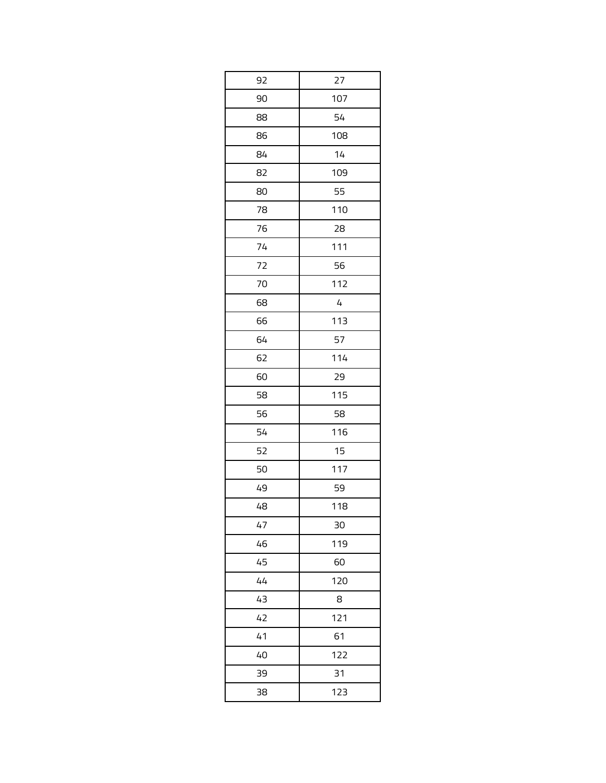| 92 | 27  |
|----|-----|
| 90 | 107 |
| 88 | 54  |
| 86 | 108 |
| 84 | 14  |
| 82 | 109 |
| 80 | 55  |
| 78 | 110 |
| 76 | 28  |
| 74 | 111 |
| 72 | 56  |
| 70 | 112 |
| 68 | 4   |
| 66 | 113 |
| 64 | 57  |
| 62 | 114 |
| 60 | 29  |
| 58 | 115 |
| 56 | 58  |
| 54 | 116 |
| 52 | 15  |
| 50 | 117 |
| 49 | 59  |
| 48 | 118 |
| 47 | 30  |
| 46 | 119 |
| 45 | 60  |
| 44 | 120 |
| 43 | 8   |
| 42 | 121 |
| 41 | 61  |
| 40 | 122 |
| 39 | 31  |
| 38 | 123 |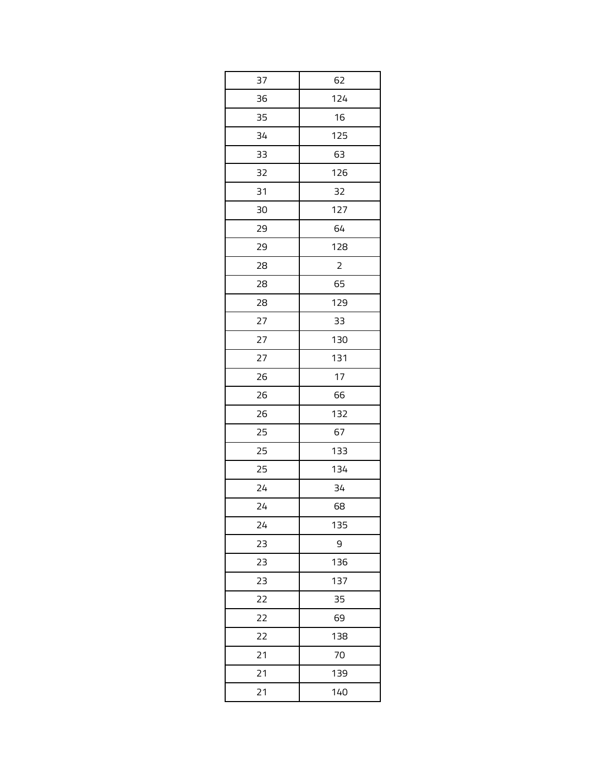| 37 | 62             |
|----|----------------|
| 36 | 124            |
| 35 | 16             |
| 34 | 125            |
| 33 | 63             |
| 32 | 126            |
| 31 | 32             |
| 30 | 127            |
| 29 | 64             |
| 29 | 128            |
| 28 | $\overline{c}$ |
| 28 | 65             |
| 28 | 129            |
| 27 | 33             |
| 27 | 130            |
| 27 | 131            |
| 26 | 17             |
| 26 | 66             |
| 26 | 132            |
| 25 | 67             |
| 25 | 133            |
| 25 | 134            |
| 24 | 34             |
| 24 | 68             |
| 24 | 135            |
| 23 | 9              |
| 23 | 136            |
| 23 | 137            |
| 22 | 35             |
| 22 | 69             |
| 22 | 138            |
| 21 | 70             |
| 21 | 139            |
| 21 | 140            |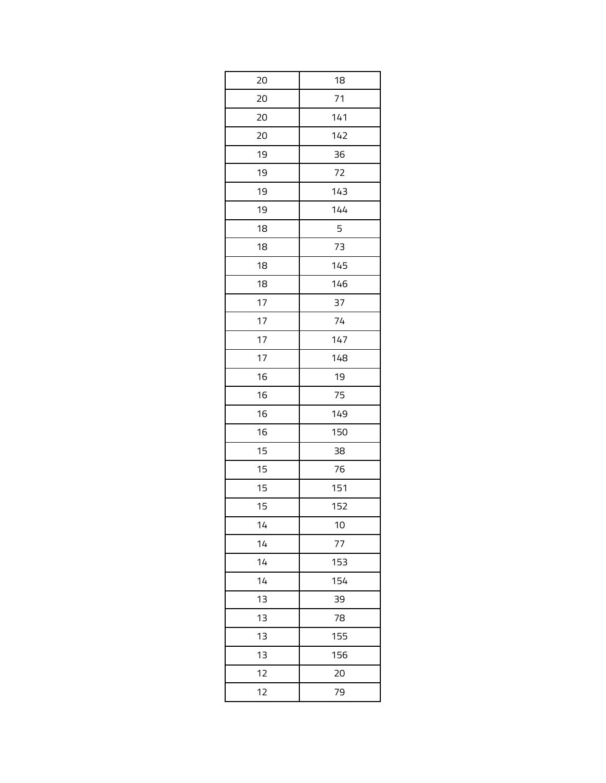| 20 | 18  |
|----|-----|
| 20 | 71  |
| 20 | 141 |
| 20 | 142 |
| 19 | 36  |
| 19 | 72  |
| 19 | 143 |
| 19 | 144 |
| 18 | 5   |
| 18 | 73  |
| 18 | 145 |
| 18 | 146 |
| 17 | 37  |
| 17 | 74  |
| 17 | 147 |
| 17 | 148 |
| 16 | 19  |
| 16 | 75  |
| 16 | 149 |
| 16 | 150 |
| 15 | 38  |
| 15 | 76  |
| 15 | 151 |
| 15 | 152 |
| 14 | 10  |
| 14 | 77  |
| 14 | 153 |
| 14 | 154 |
| 13 | 39  |
| 13 | 78  |
| 13 | 155 |
| 13 | 156 |
| 12 | 20  |
| 12 | 79  |
|    |     |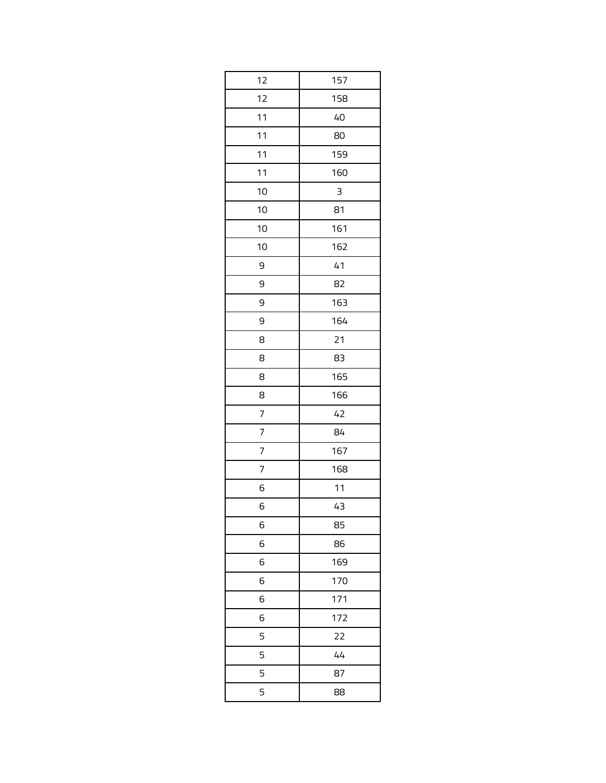| 12 | 157 |
|----|-----|
| 12 | 158 |
| 11 | 40  |
| 11 | 80  |
| 11 | 159 |
| 11 | 160 |
| 10 | 3   |
| 10 | 81  |
| 10 | 161 |
| 10 | 162 |
| 9  | 41  |
| 9  | 82  |
| 9  | 163 |
| 9  | 164 |
| 8  | 21  |
| 8  | 83  |
| 8  | 165 |
| 8  | 166 |
| 7  | 42  |
| 7  | 84  |
| 7  | 167 |
| 7  | 168 |
| 6  | 11  |
| 6  | 43  |
| 6  | 85  |
| 6  | 86  |
| 6  | 169 |
| 6  | 170 |
| 6  | 171 |
| 6  | 172 |
| 5  | 22  |
| 5  | 44  |
| 5  | 87  |
| 5  | 88  |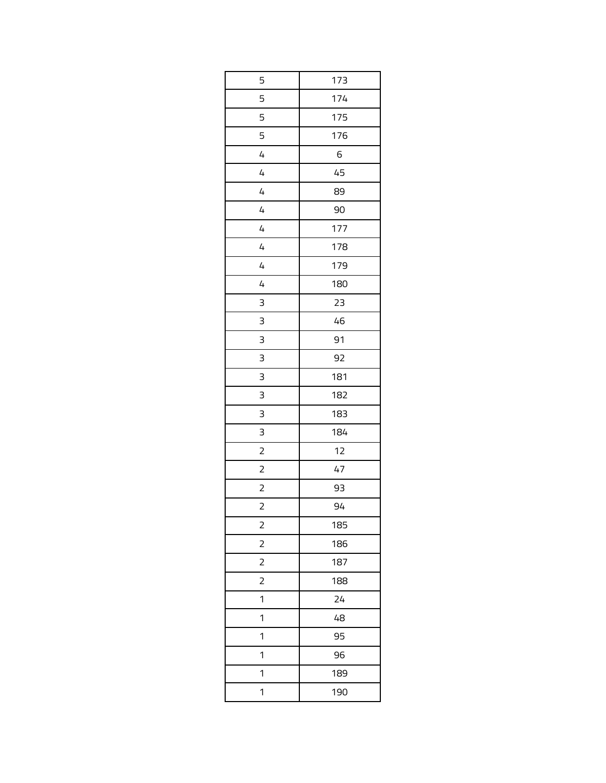| 5                       | 173 |
|-------------------------|-----|
| 5                       | 174 |
| 5                       | 175 |
| 5                       | 176 |
| 4                       | 6   |
| 4                       | 45  |
| 4                       | 89  |
| 4                       | 90  |
| 4                       | 177 |
| $\overline{4}$          | 178 |
| 4                       | 179 |
| 4                       | 180 |
| 3                       | 23  |
| 3                       | 46  |
| 3                       | 91  |
| 3                       | 92  |
| 3                       | 181 |
| 3                       | 182 |
| 3                       | 183 |
| 3                       | 184 |
| $\overline{c}$          | 12  |
| $\overline{c}$          | 47  |
| $\overline{c}$          | 93  |
| $\overline{a}$          | 94  |
| $\overline{c}$          | 185 |
| $\overline{\mathbf{c}}$ | 186 |
| 2                       | 187 |
| $\overline{c}$          | 188 |
| 1                       | 24  |
| 1                       | 48  |
| 1                       | 95  |
| 1                       | 96  |
| 1                       | 189 |
| 1                       | 190 |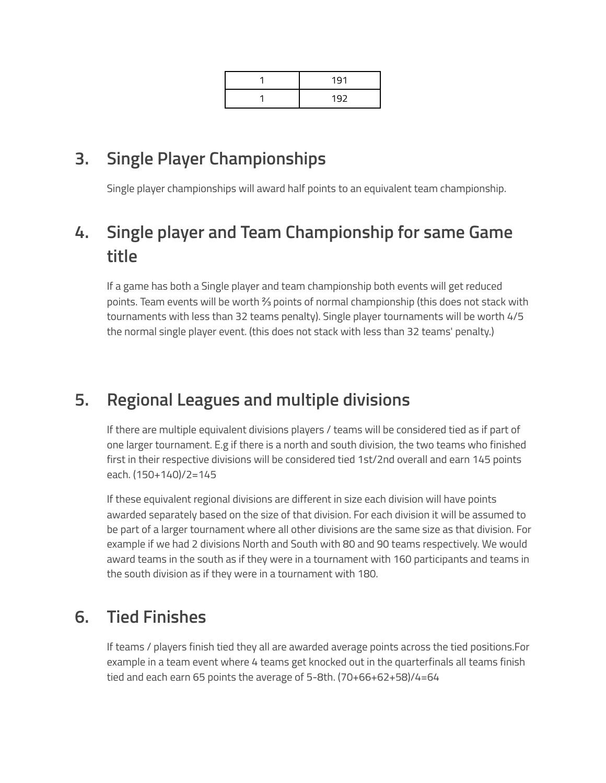| 191 |
|-----|
| 192 |

# **3. Single Player Championships**

Single player championships will award half points to an equivalent team championship.

# **4. Single player and Team Championship for same Game title**

If a game has both a Single player and team championship both events will get reduced points. Team events will be worth ⅔ points of normal championship (this does not stack with tournaments with less than 32 teams penalty). Single player tournaments will be worth 4/5 the normal single player event. (this does not stack with less than 32 teams' penalty.)

# **5. Regional Leagues and multiple divisions**

If there are multiple equivalent divisions players / teams will be considered tied as if part of one larger tournament. E.g if there is a north and south division, the two teams who finished first in their respective divisions will be considered tied 1st/2nd overall and earn 145 points each. (150+140)/2=145

If these equivalent regional divisions are different in size each division will have points awarded separately based on the size of that division. For each division it will be assumed to be part of a larger tournament where all other divisions are the same size as that division. For example if we had 2 divisions North and South with 80 and 90 teams respectively. We would award teams in the south as if they were in a tournament with 160 participants and teams in the south division as if they were in a tournament with 180.

# **6. Tied Finishes**

If teams / players finish tied they all are awarded average points across the tied positions.For example in a team event where 4 teams get knocked out in the quarterfinals all teams finish tied and each earn 65 points the average of 5-8th. (70+66+62+58)/4=64